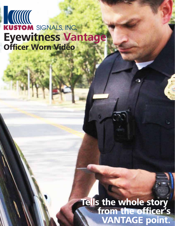# **Officer Worn Video Eyewitness Vantage**

**Tells the whole story from the officer's VANTAGE point.**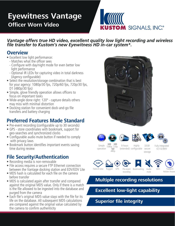### **Officer Worn Video Eyewitness Vantage**



*Vantage offers true HD video, excellent quality low light recording and wireless*  file transfer to Kustom's new Eyewitness HD in-car system<sup>\*</sup>.

### **Overview**

- Excellent low light performance:
	- Matches what the officer sees
	- Configure with day/night mode for even better low light performance
	- Optional IR LEDs for capturing video in total darkness (Agency configurable)
- Select the resolution/storage combination that is best for your agency: 1080p/30 fps, 720p/60 fps, 720p/30 fps, D1 (480p/30 fps)
- Simple, glove friendly operation allows officers to focus on important tasks
- Wide-angle done right: 120º capture details others may miss with minimal distortion
- Docking station for convenient dock-and-go file transfers and battery charging

### **Preferred Features Made Standard**

- Pre-event recording (configurable up to 30 seconds)
- GPS store coordinates with bookmark, support for geo-searches and synchronized clocks
- Configurable audio mute button if needed to comply with privacy laws
- Bookmark button identifies important events saving time during review

### **File Security/Authentication**

- Recording media is non-removable
- File access requires a secure FTP Ethernet connection between the Vantage docking station and EDV/EDV Lite
- $\bullet$  MD5 hash is calculated for each file on the camera before transfer
- MD5 is calculated again after transfer and compared against the original MD5 value. Only if there is a match is the file allowed to be ingested into the database and purged from the camera
- Each file's original MD5 value stays with the file for its life on the database. All subsequent MD5 calculations are compared against the original value calculated by the camera to confirm authenticity















Simple operation **HD HD** 1080p **SD**

720p 480p

Highly (extended) configurable secure 9 hours

Fully integrated ICV & BWV











32GB

storage

mute



Holster Aware

### **Multiple recording resolutions**

recording

### **Excellent low-light capability**

### **Superior file integrity**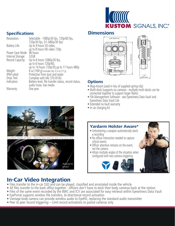# **KUSTOM SIGNALS, INC®**

### **Specifications Dimensions**

| Resolution:       | Selectable - 1080p/30 fps, 720p/60 fps,<br>720p/30 fps, D1 (480p/30 fps) | 236° (60.0 mm)                                                   |
|-------------------|--------------------------------------------------------------------------|------------------------------------------------------------------|
| Battery Life:     | Up to 9 hours SD video,<br>up to 8 hours HD video 720p                   |                                                                  |
| Power Save Mode:  | 96 hours                                                                 |                                                                  |
| Internal Storage: | 32GB                                                                     |                                                                  |
| Record Capacity:  | Up to 6 hours 1080p/30 fps,                                              |                                                                  |
|                   | up to 6 hours 720p/60,                                                   |                                                                  |
|                   | up to 14 hours 720p/30, up to 17 hours 480p                              |                                                                  |
| Weight:           | 6 oz $(169 q)$ excludes clip: 0.5 oz $(17 q)$                            |                                                                  |
| IP64 rated:       | Protection from dust and water                                           |                                                                  |
| Drop Test:        | Complies with MIL STD 810G                                               | 1.10''<br>(28.0 mm)                                              |
|                   |                                                                          |                                                                  |
| Indicators:       | Battery level, file transfer status, record status,                      | <b>Options</b>                                                   |
|                   | audio mute, low media                                                    | • Mag-mount (used in lieu of supplied spring-clip)               |
| Warranty:         | One year                                                                 | • Multi-dock (supports six cameras - multiple multi-docks can be |



cellent depth-of-field - objects near and far are crisp and clear





#### **Options**

- 
- connected together to support larger fleets)
- File Management Software see Eyewitness Data Vault and Eyewitness Data Vault Lite
- Extended no-fault warranty
- In car charging kit



### **In-Car Video Integration**

- Files transfer to the in-car SSD and can be played, classified and annotated inside the vehicle
- All files transfer to the back office together officers don't have to dock their body cameras back at the station
- Files of the same event recorded by the BWC and ICV are associated for easy retrieval within Eyewitness Data Vault
- EyePortal supports wireless file transfers, bi-directional record activation
- Vantage body camera can provide wireless audio to EyeHD, replacing the standard audio transmitter
- Peer to peer record triggering Limit record activations to paired cameras only